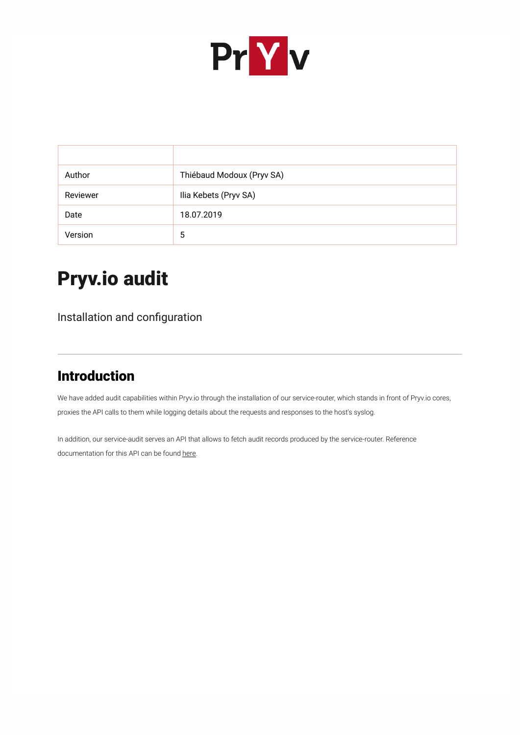

| Author   | Thiébaud Modoux (Pryv SA) |
|----------|---------------------------|
| Reviewer | Ilia Kebets (Pryv SA)     |
| Date     | 18.07.2019                |
| Version  | 5                         |

# Pryv.io audit

Installation and configuration

## Introduction

We have added audit capabilities within Pryv.io through the installation of our service-router, which stands in front of Pryv.io cores, proxies the API calls to them while logging details about the requests and responses to the host's syslog.

In addition, our service-audit serves an API that allows to fetch audit records produced by the service-router. Reference documentation for this API can be found [here](https://api.pryv.com/reference-preview/#audit).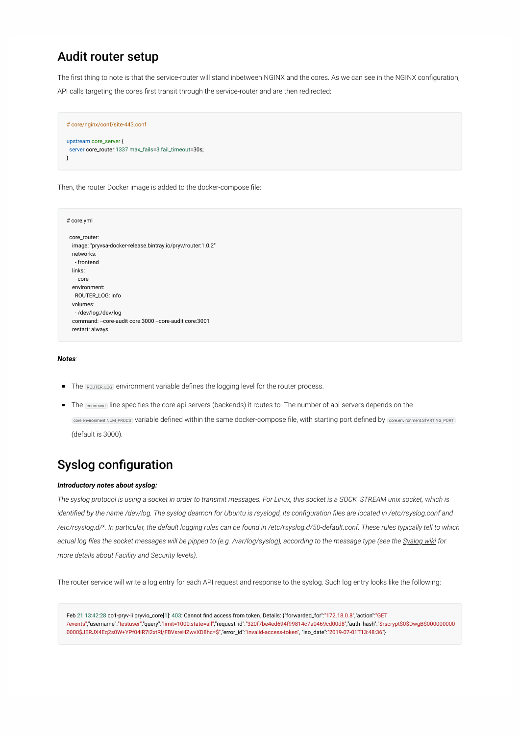## Audit router setup

The first thing to note is that the service-router will stand inbetween NGINX and the cores. As we can see in the NGINX configuration,

API calls targeting the cores first transit through the service-router and are then redirected:

```
# core/nginx/conf/site-443.conf
upstream core_server {
 server core_router:1337 max_fails=3 fail_timeout=30s;
}
```
Then, the router Docker image is added to the docker-compose file:

```
# core.yml
core_router:
  image: "pryvsa-docker-release.bintray.io/pryv/router:1.0.2"
  networks:
   - frontend
  links:
   - core
  environment:
   ROUTER_LOG: info
  volumes:
   - /dev/log:/dev/log
 command: --core-audit core:3000 --core-audit core:3001
  restart: always
```
### *Notes:*

- The ROUTER LOG environment variable defines the logging level for the router process.
- The command line specifies the core api-servers (backends) it routes to. The number of api-servers depends on the core.environment.NUM\_PROCS variable defined within the same docker-compose file, with starting port defined by core.environment.STARTING\_PORT (default is 3000).

## Syslog configuration

### *Introductory notes about syslog:*

*The syslog protocol is using a socket in order to transmit messages. For Linux, this socket is a SOCK\_STREAM unix socket, which is identified by the name /dev/log. The syslog deamon for Ubuntu is rsyslogd, its configuration files are located in /etc/rsyslog.conf and /etc/rsyslog.d/\*. In particular, the default logging rules can be found in /etc/rsyslog.d/50-default.conf. These rules typically tell to which actual log files the socket messages will be pipped to (e.g. /var/log/syslog), according to the message type (see the [Syslog wiki](https://en.wikipedia.org/wiki/Syslog) for more details about Facility and Security levels).*

The router service will write a log entry for each API request and response to the syslog. Such log entry looks like the following:

Feb 21 13:42:28 co1-pryv-li pryvio\_core[1]: 403: Cannot find access from token. Details: {"forwarded\_for":"172.18.0.8","action":"GET /events","username":"testuser","query":"limit=1000,state=all","request\_id":"320f7be4ed694f99814c7a0469cd00d8","auth\_hash":"\$rscrypt\$0\$DwgB\$000000000 0000\$JERJX4Eq2s0W+YPf04lR7i2xtRl/FBVsreHZwvXD8hc=\$","error\_id":"invalid-access-token", "iso\_date":"2019-07-01T13:48:36"}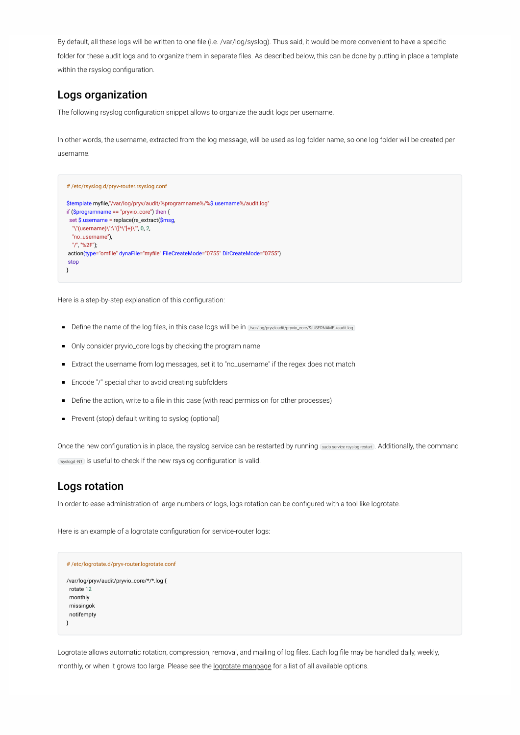By default, all these logs will be written to one file (i.e. /var/log/syslog). Thus said, it would be more convenient to have a specific folder for these audit logs and to organize them in separate files. As described below, this can be done by putting in place a template within the rsyslog configuration.

### <span id="page-2-0"></span>Logs organization

The following rsyslog configuration snippet allows to organize the audit logs per username.

In other words, the username, extracted from the log message, will be used as log folder name, so one log folder will be created per username.

```
# /etc/rsyslog.d/pryv-router.rsyslog.conf
$template myfile,"/var/log/pryv/audit/%programname%/%$.username%/audit.log"
if ($programname == "pryvio_core") then {
 set $.username = replace(re_extract($msg,
   "\"(username)\":\"([^\"]+)\"", 0, 2,
  "no_username"),
   "/", "%2F");
 action(type="omfile" dynaFile="myfile" FileCreateMode="0755" DirCreateMode="0755")
stop
}
```
Here is a step-by-step explanation of this configuration:

- Define the name of the log files, in this case logs will be in /var/log/pryv/audit/pryvio\_core/\${USERNAME}/audit.log
- Only consider pryvio\_core logs by checking the program name
- Extract the username from log messages, set it to "no\_username" if the regex does not match
- **Encode "/" special char to avoid creating subfolders**
- Define the action, write to a file in this case (with read permission for other processes)
- **Prevent (stop) default writing to syslog (optional)**

Once the new configuration is in place, the rsyslog service can be restarted by running sudo service rsyslog restart . Additionally, the command rsyslogd -N1 | is useful to check if the new rsyslog configuration is valid.

### Logs rotation

In order to ease administration of large numbers of logs, logs rotation can be configured with a tool like logrotate.

Here is an example of a logrotate configuration for service-router logs:

```
# /etc/logrotate.d/pryv-router.logrotate.conf
/var/log/pryv/audit/pryvio_core/*/*.log {
 rotate 12
  monthly
  missingok
  notifempty
}
```
Logrotate allows automatic rotation, compression, removal, and mailing of log files. Each log file may be handled daily, weekly, monthly, or when it grows too large. Please see the **logrotate manpage** for a list of all available options.